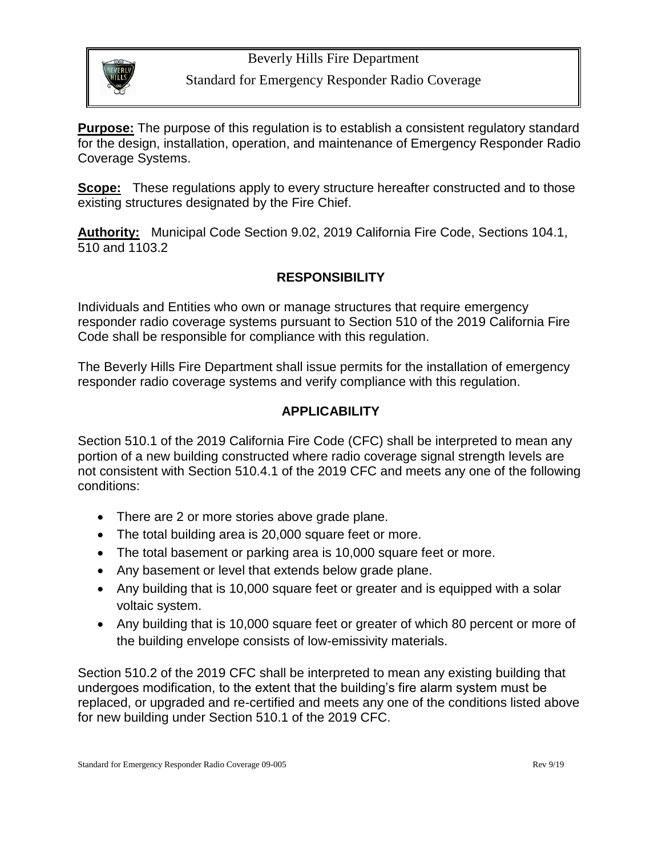#### Beverly Hills Fire Department



# Standard for Emergency Responder Radio Coverage

**Purpose:** The purpose of this regulation is to establish a consistent regulatory standard for the design, installation, operation, and maintenance of Emergency Responder Radio Coverage Systems.

**Scope:** These regulations apply to every structure hereafter constructed and to those existing structures designated by the Fire Chief.

**Authority:** Municipal Code Section 9.02, 2019 California Fire Code, Sections 104.1, 510 and 1103.2

#### **RESPONSIBILITY**

Individuals and Entities who own or manage structures that require emergency responder radio coverage systems pursuant to Section 510 of the 2019 California Fire Code shall be responsible for compliance with this regulation.

The Beverly Hills Fire Department shall issue permits for the installation of emergency responder radio coverage systems and verify compliance with this regulation.

# **APPLICABILITY**

Section 510.1 of the 2019 California Fire Code (CFC) shall be interpreted to mean any portion of a new building constructed where radio coverage signal strength levels are not consistent with Section 510.4.1 of the 2019 CFC and meets any one of the following conditions:

- There are 2 or more stories above grade plane.
- The total building area is 20,000 square feet or more.
- The total basement or parking area is 10,000 square feet or more.
- Any basement or level that extends below grade plane.
- Any building that is 10,000 square feet or greater and is equipped with a solar voltaic system.
- Any building that is 10,000 square feet or greater of which 80 percent or more of the building envelope consists of low-emissivity materials.

Section 510.2 of the 2019 CFC shall be interpreted to mean any existing building that undergoes modification, to the extent that the building's fire alarm system must be replaced, or upgraded and re-certified and meets any one of the conditions listed above for new building under Section 510.1 of the 2019 CFC.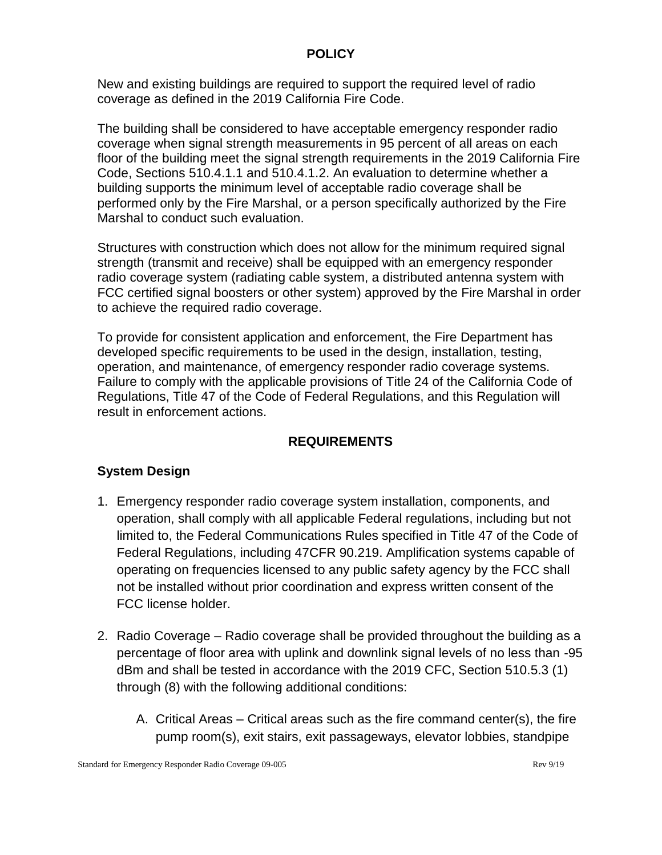#### **POLICY**

New and existing buildings are required to support the required level of radio coverage as defined in the 2019 California Fire Code.

The building shall be considered to have acceptable emergency responder radio coverage when signal strength measurements in 95 percent of all areas on each floor of the building meet the signal strength requirements in the 2019 California Fire Code, Sections 510.4.1.1 and 510.4.1.2. An evaluation to determine whether a building supports the minimum level of acceptable radio coverage shall be performed only by the Fire Marshal, or a person specifically authorized by the Fire Marshal to conduct such evaluation.

Structures with construction which does not allow for the minimum required signal strength (transmit and receive) shall be equipped with an emergency responder radio coverage system (radiating cable system, a distributed antenna system with FCC certified signal boosters or other system) approved by the Fire Marshal in order to achieve the required radio coverage.

To provide for consistent application and enforcement, the Fire Department has developed specific requirements to be used in the design, installation, testing, operation, and maintenance, of emergency responder radio coverage systems. Failure to comply with the applicable provisions of Title 24 of the California Code of Regulations, Title 47 of the Code of Federal Regulations, and this Regulation will result in enforcement actions.

# **REQUIREMENTS**

# **System Design**

- 1. Emergency responder radio coverage system installation, components, and operation, shall comply with all applicable Federal regulations, including but not limited to, the Federal Communications Rules specified in Title 47 of the Code of Federal Regulations, including 47CFR 90.219. Amplification systems capable of operating on frequencies licensed to any public safety agency by the FCC shall not be installed without prior coordination and express written consent of the FCC license holder.
- 2. Radio Coverage Radio coverage shall be provided throughout the building as a percentage of floor area with uplink and downlink signal levels of no less than -95 dBm and shall be tested in accordance with the 2019 CFC, Section 510.5.3 (1) through (8) with the following additional conditions:
	- A. Critical Areas Critical areas such as the fire command center(s), the fire pump room(s), exit stairs, exit passageways, elevator lobbies, standpipe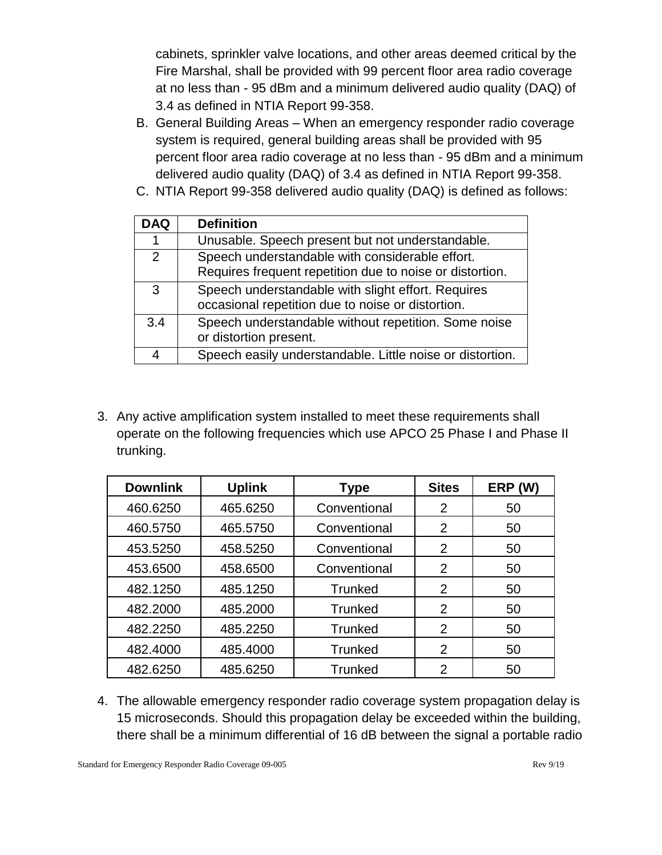cabinets, sprinkler valve locations, and other areas deemed critical by the Fire Marshal, shall be provided with 99 percent floor area radio coverage at no less than - 95 dBm and a minimum delivered audio quality (DAQ) of 3.4 as defined in NTIA Report 99-358.

- B. General Building Areas When an emergency responder radio coverage system is required, general building areas shall be provided with 95 percent floor area radio coverage at no less than - 95 dBm and a minimum delivered audio quality (DAQ) of 3.4 as defined in NTIA Report 99-358.
- C. NTIA Report 99-358 delivered audio quality (DAQ) is defined as follows:

| <b>DAQ</b> | <b>Definition</b>                                                                                           |
|------------|-------------------------------------------------------------------------------------------------------------|
|            | Unusable. Speech present but not understandable.                                                            |
| 2          | Speech understandable with considerable effort.<br>Requires frequent repetition due to noise or distortion. |
| 3          | Speech understandable with slight effort. Requires<br>occasional repetition due to noise or distortion.     |
| 3.4        | Speech understandable without repetition. Some noise<br>or distortion present.                              |
|            | Speech easily understandable. Little noise or distortion.                                                   |

3. Any active amplification system installed to meet these requirements shall operate on the following frequencies which use APCO 25 Phase I and Phase II trunking.

| <b>Downlink</b> | <b>Uplink</b> | <b>Type</b>    | <b>Sites</b>   | ERP (W) |
|-----------------|---------------|----------------|----------------|---------|
| 460.6250        | 465.6250      | Conventional   | 2              | 50      |
| 460.5750        | 465.5750      | Conventional   | $\mathcal{P}$  | 50      |
| 453.5250        | 458.5250      | Conventional   | $\overline{2}$ | 50      |
| 453.6500        | 458.6500      | Conventional   | 2              | 50      |
| 482.1250        | 485.1250      | <b>Trunked</b> | 2              | 50      |
| 482.2000        | 485.2000      | <b>Trunked</b> | 2              | 50      |
| 482.2250        | 485.2250      | <b>Trunked</b> | 2              | 50      |
| 482.4000        | 485.4000      | <b>Trunked</b> | 2              | 50      |
| 482.6250        | 485.6250      | Trunked        | 2              | 50      |

4. The allowable emergency responder radio coverage system propagation delay is 15 microseconds. Should this propagation delay be exceeded within the building, there shall be a minimum differential of 16 dB between the signal a portable radio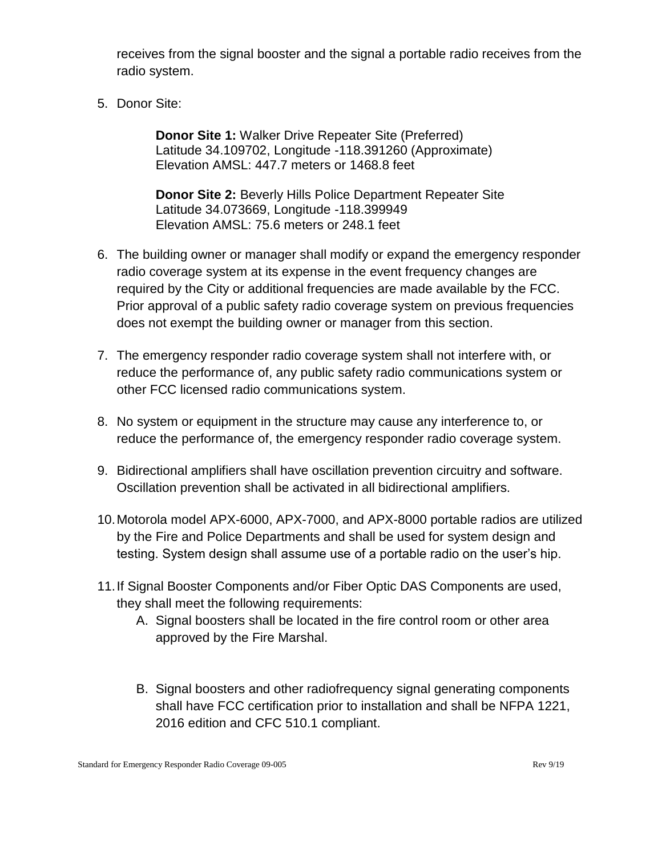receives from the signal booster and the signal a portable radio receives from the radio system.

5. Donor Site:

**Donor Site 1:** Walker Drive Repeater Site (Preferred) Latitude 34.109702, Longitude -118.391260 (Approximate) Elevation AMSL: 447.7 meters or 1468.8 feet

**Donor Site 2:** Beverly Hills Police Department Repeater Site Latitude 34.073669, Longitude -118.399949 Elevation AMSL: 75.6 meters or 248.1 feet

- 6. The building owner or manager shall modify or expand the emergency responder radio coverage system at its expense in the event frequency changes are required by the City or additional frequencies are made available by the FCC. Prior approval of a public safety radio coverage system on previous frequencies does not exempt the building owner or manager from this section.
- 7. The emergency responder radio coverage system shall not interfere with, or reduce the performance of, any public safety radio communications system or other FCC licensed radio communications system.
- 8. No system or equipment in the structure may cause any interference to, or reduce the performance of, the emergency responder radio coverage system.
- 9. Bidirectional amplifiers shall have oscillation prevention circuitry and software. Oscillation prevention shall be activated in all bidirectional amplifiers.
- 10.Motorola model APX-6000, APX-7000, and APX-8000 portable radios are utilized by the Fire and Police Departments and shall be used for system design and testing. System design shall assume use of a portable radio on the user's hip.
- 11.If Signal Booster Components and/or Fiber Optic DAS Components are used, they shall meet the following requirements:
	- A. Signal boosters shall be located in the fire control room or other area approved by the Fire Marshal.
	- B. Signal boosters and other radiofrequency signal generating components shall have FCC certification prior to installation and shall be NFPA 1221, 2016 edition and CFC 510.1 compliant.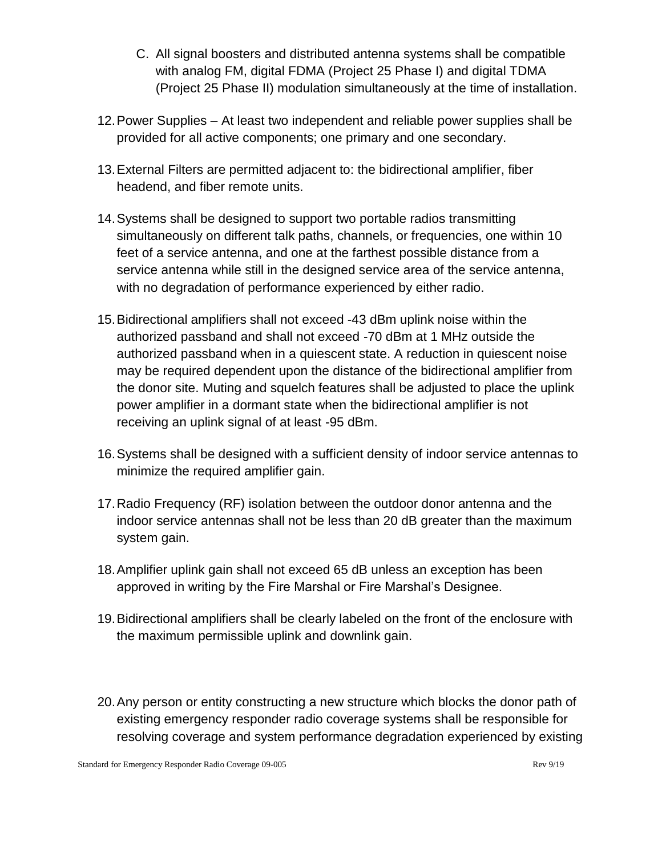- C. All signal boosters and distributed antenna systems shall be compatible with analog FM, digital FDMA (Project 25 Phase I) and digital TDMA (Project 25 Phase II) modulation simultaneously at the time of installation.
- 12.Power Supplies At least two independent and reliable power supplies shall be provided for all active components; one primary and one secondary.
- 13.External Filters are permitted adjacent to: the bidirectional amplifier, fiber headend, and fiber remote units.
- 14.Systems shall be designed to support two portable radios transmitting simultaneously on different talk paths, channels, or frequencies, one within 10 feet of a service antenna, and one at the farthest possible distance from a service antenna while still in the designed service area of the service antenna, with no degradation of performance experienced by either radio.
- 15.Bidirectional amplifiers shall not exceed -43 dBm uplink noise within the authorized passband and shall not exceed -70 dBm at 1 MHz outside the authorized passband when in a quiescent state. A reduction in quiescent noise may be required dependent upon the distance of the bidirectional amplifier from the donor site. Muting and squelch features shall be adjusted to place the uplink power amplifier in a dormant state when the bidirectional amplifier is not receiving an uplink signal of at least -95 dBm.
- 16.Systems shall be designed with a sufficient density of indoor service antennas to minimize the required amplifier gain.
- 17.Radio Frequency (RF) isolation between the outdoor donor antenna and the indoor service antennas shall not be less than 20 dB greater than the maximum system gain.
- 18.Amplifier uplink gain shall not exceed 65 dB unless an exception has been approved in writing by the Fire Marshal or Fire Marshal's Designee.
- 19.Bidirectional amplifiers shall be clearly labeled on the front of the enclosure with the maximum permissible uplink and downlink gain.
- 20.Any person or entity constructing a new structure which blocks the donor path of existing emergency responder radio coverage systems shall be responsible for resolving coverage and system performance degradation experienced by existing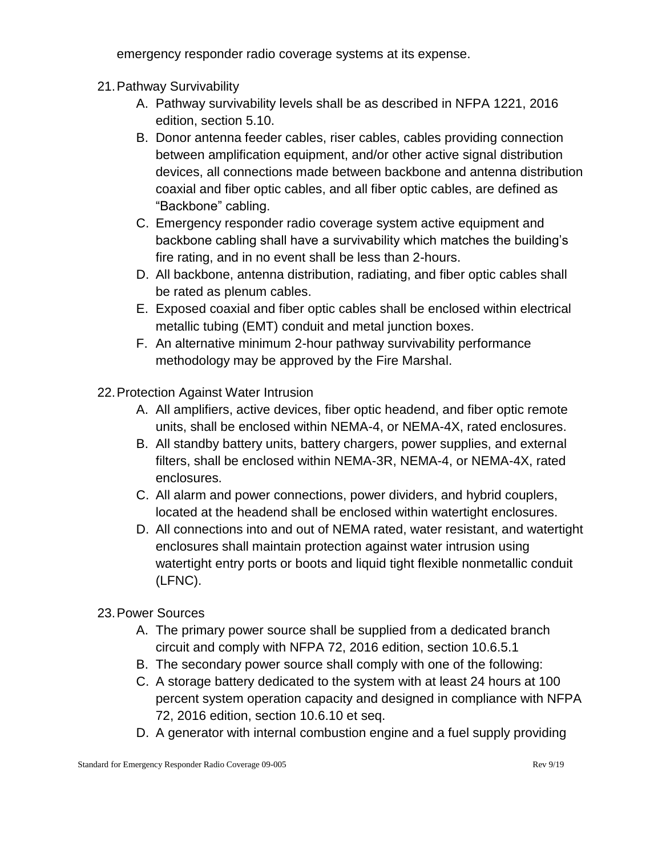emergency responder radio coverage systems at its expense.

- 21.Pathway Survivability
	- A. Pathway survivability levels shall be as described in NFPA 1221, 2016 edition, section 5.10.
	- B. Donor antenna feeder cables, riser cables, cables providing connection between amplification equipment, and/or other active signal distribution devices, all connections made between backbone and antenna distribution coaxial and fiber optic cables, and all fiber optic cables, are defined as "Backbone" cabling.
	- C. Emergency responder radio coverage system active equipment and backbone cabling shall have a survivability which matches the building's fire rating, and in no event shall be less than 2-hours.
	- D. All backbone, antenna distribution, radiating, and fiber optic cables shall be rated as plenum cables.
	- E. Exposed coaxial and fiber optic cables shall be enclosed within electrical metallic tubing (EMT) conduit and metal junction boxes.
	- F. An alternative minimum 2-hour pathway survivability performance methodology may be approved by the Fire Marshal.
- 22.Protection Against Water Intrusion
	- A. All amplifiers, active devices, fiber optic headend, and fiber optic remote units, shall be enclosed within NEMA-4, or NEMA-4X, rated enclosures.
	- B. All standby battery units, battery chargers, power supplies, and external filters, shall be enclosed within NEMA-3R, NEMA-4, or NEMA-4X, rated enclosures.
	- C. All alarm and power connections, power dividers, and hybrid couplers, located at the headend shall be enclosed within watertight enclosures.
	- D. All connections into and out of NEMA rated, water resistant, and watertight enclosures shall maintain protection against water intrusion using watertight entry ports or boots and liquid tight flexible nonmetallic conduit (LFNC).
- 23.Power Sources
	- A. The primary power source shall be supplied from a dedicated branch circuit and comply with NFPA 72, 2016 edition, section 10.6.5.1
	- B. The secondary power source shall comply with one of the following:
	- C. A storage battery dedicated to the system with at least 24 hours at 100 percent system operation capacity and designed in compliance with NFPA 72, 2016 edition, section 10.6.10 et seq.
	- D. A generator with internal combustion engine and a fuel supply providing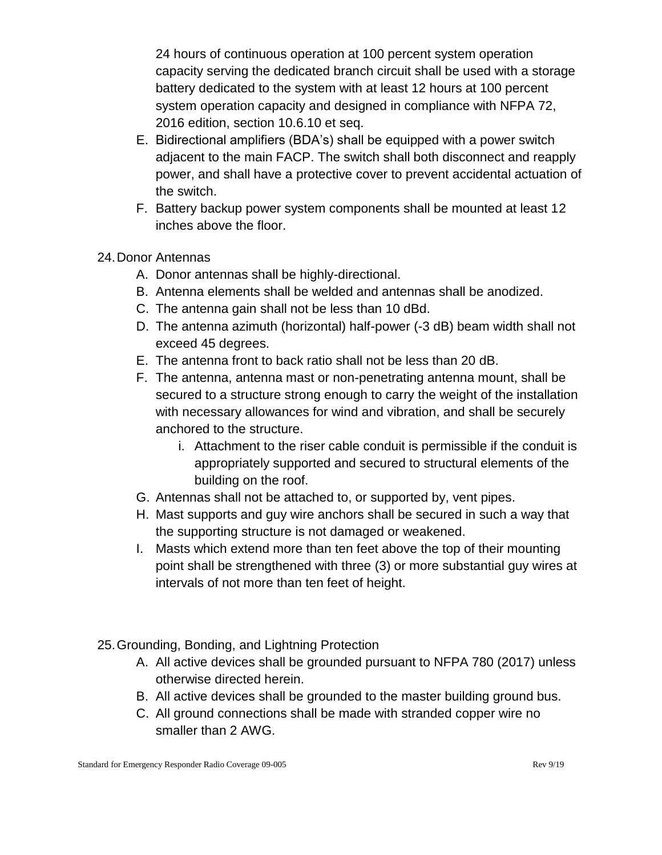24 hours of continuous operation at 100 percent system operation capacity serving the dedicated branch circuit shall be used with a storage battery dedicated to the system with at least 12 hours at 100 percent system operation capacity and designed in compliance with NFPA 72, 2016 edition, section 10.6.10 et seq.

- E. Bidirectional amplifiers (BDA's) shall be equipped with a power switch adjacent to the main FACP. The switch shall both disconnect and reapply power, and shall have a protective cover to prevent accidental actuation of the switch.
- F. Battery backup power system components shall be mounted at least 12 inches above the floor.
- 24.Donor Antennas
	- A. Donor antennas shall be highly-directional.
	- B. Antenna elements shall be welded and antennas shall be anodized.
	- C. The antenna gain shall not be less than 10 dBd.
	- D. The antenna azimuth (horizontal) half-power (-3 dB) beam width shall not exceed 45 degrees.
	- E. The antenna front to back ratio shall not be less than 20 dB.
	- F. The antenna, antenna mast or non-penetrating antenna mount, shall be secured to a structure strong enough to carry the weight of the installation with necessary allowances for wind and vibration, and shall be securely anchored to the structure.
		- i. Attachment to the riser cable conduit is permissible if the conduit is appropriately supported and secured to structural elements of the building on the roof.
	- G. Antennas shall not be attached to, or supported by, vent pipes.
	- H. Mast supports and guy wire anchors shall be secured in such a way that the supporting structure is not damaged or weakened.
	- I. Masts which extend more than ten feet above the top of their mounting point shall be strengthened with three (3) or more substantial guy wires at intervals of not more than ten feet of height.
- 25.Grounding, Bonding, and Lightning Protection
	- A. All active devices shall be grounded pursuant to NFPA 780 (2017) unless otherwise directed herein.
	- B. All active devices shall be grounded to the master building ground bus.
	- C. All ground connections shall be made with stranded copper wire no smaller than 2 AWG.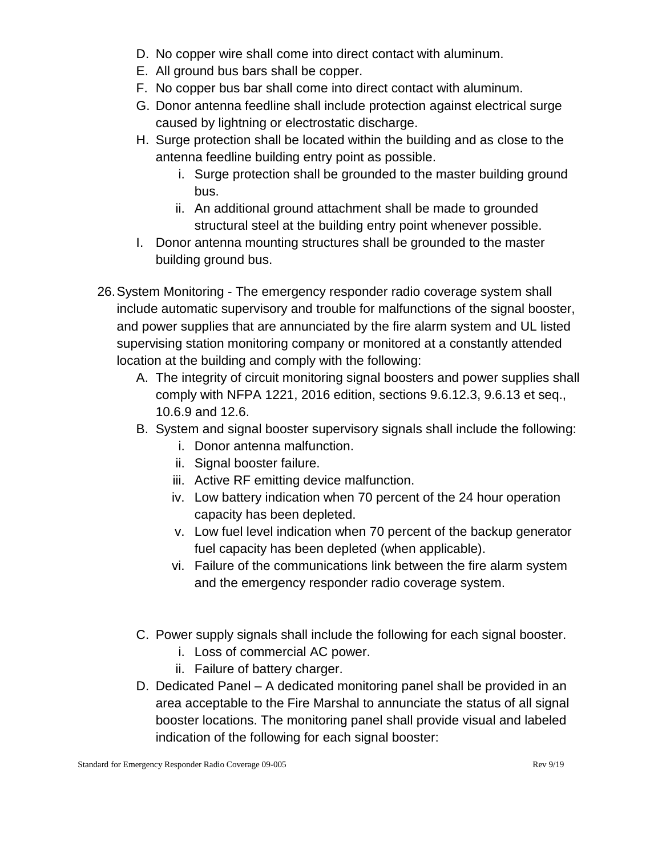- D. No copper wire shall come into direct contact with aluminum.
- E. All ground bus bars shall be copper.
- F. No copper bus bar shall come into direct contact with aluminum.
- G. Donor antenna feedline shall include protection against electrical surge caused by lightning or electrostatic discharge.
- H. Surge protection shall be located within the building and as close to the antenna feedline building entry point as possible.
	- i. Surge protection shall be grounded to the master building ground bus.
	- ii. An additional ground attachment shall be made to grounded structural steel at the building entry point whenever possible.
- I. Donor antenna mounting structures shall be grounded to the master building ground bus.
- 26.System Monitoring The emergency responder radio coverage system shall include automatic supervisory and trouble for malfunctions of the signal booster, and power supplies that are annunciated by the fire alarm system and UL listed supervising station monitoring company or monitored at a constantly attended location at the building and comply with the following:
	- A. The integrity of circuit monitoring signal boosters and power supplies shall comply with NFPA 1221, 2016 edition, sections 9.6.12.3, 9.6.13 et seq., 10.6.9 and 12.6.
	- B. System and signal booster supervisory signals shall include the following:
		- i. Donor antenna malfunction.
		- ii. Signal booster failure.
		- iii. Active RF emitting device malfunction.
		- iv. Low battery indication when 70 percent of the 24 hour operation capacity has been depleted.
		- v. Low fuel level indication when 70 percent of the backup generator fuel capacity has been depleted (when applicable).
		- vi. Failure of the communications link between the fire alarm system and the emergency responder radio coverage system.
	- C. Power supply signals shall include the following for each signal booster.
		- i. Loss of commercial AC power.
		- ii. Failure of battery charger.
	- D. Dedicated Panel A dedicated monitoring panel shall be provided in an area acceptable to the Fire Marshal to annunciate the status of all signal booster locations. The monitoring panel shall provide visual and labeled indication of the following for each signal booster: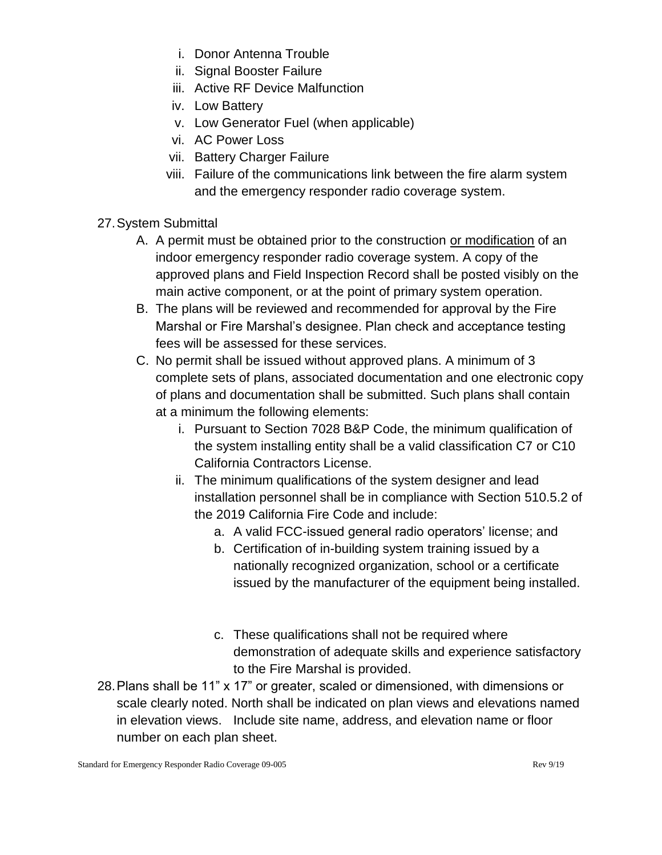- i. Donor Antenna Trouble
- ii. Signal Booster Failure
- iii. Active RF Device Malfunction
- iv. Low Battery
- v. Low Generator Fuel (when applicable)
- vi. AC Power Loss
- vii. Battery Charger Failure
- viii. Failure of the communications link between the fire alarm system and the emergency responder radio coverage system.
- 27.System Submittal
	- A. A permit must be obtained prior to the construction or modification of an indoor emergency responder radio coverage system. A copy of the approved plans and Field Inspection Record shall be posted visibly on the main active component, or at the point of primary system operation.
	- B. The plans will be reviewed and recommended for approval by the Fire Marshal or Fire Marshal's designee. Plan check and acceptance testing fees will be assessed for these services.
	- C. No permit shall be issued without approved plans. A minimum of 3 complete sets of plans, associated documentation and one electronic copy of plans and documentation shall be submitted. Such plans shall contain at a minimum the following elements:
		- i. Pursuant to Section 7028 B&P Code, the minimum qualification of the system installing entity shall be a valid classification C7 or C10 California Contractors License.
		- ii. The minimum qualifications of the system designer and lead installation personnel shall be in compliance with Section 510.5.2 of the 2019 California Fire Code and include:
			- a. A valid FCC-issued general radio operators' license; and
			- b. Certification of in-building system training issued by a nationally recognized organization, school or a certificate issued by the manufacturer of the equipment being installed.
			- c. These qualifications shall not be required where demonstration of adequate skills and experience satisfactory to the Fire Marshal is provided.
- 28.Plans shall be 11" x 17" or greater, scaled or dimensioned, with dimensions or scale clearly noted. North shall be indicated on plan views and elevations named in elevation views. Include site name, address, and elevation name or floor number on each plan sheet.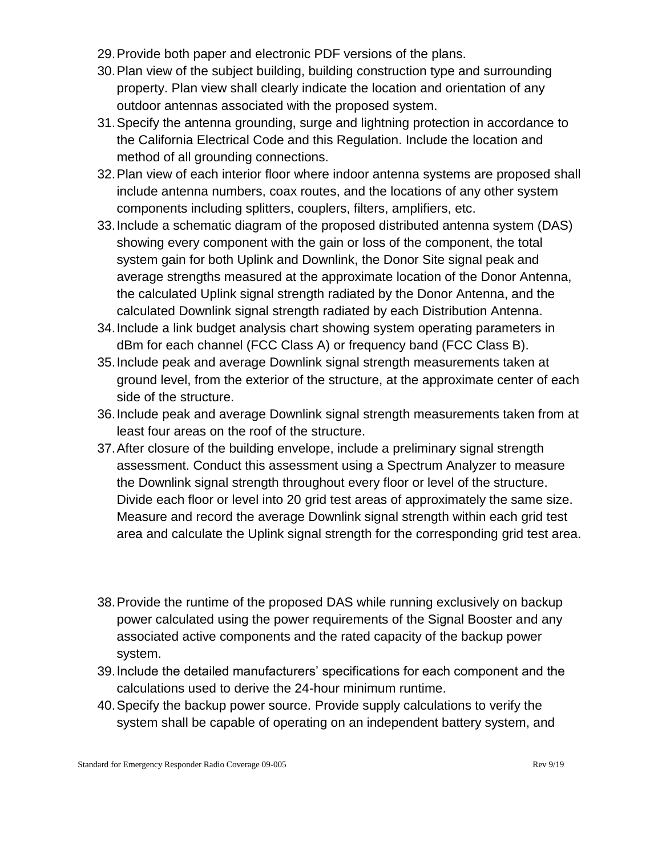- 29.Provide both paper and electronic PDF versions of the plans.
- 30.Plan view of the subject building, building construction type and surrounding property. Plan view shall clearly indicate the location and orientation of any outdoor antennas associated with the proposed system.
- 31.Specify the antenna grounding, surge and lightning protection in accordance to the California Electrical Code and this Regulation. Include the location and method of all grounding connections.
- 32.Plan view of each interior floor where indoor antenna systems are proposed shall include antenna numbers, coax routes, and the locations of any other system components including splitters, couplers, filters, amplifiers, etc.
- 33.Include a schematic diagram of the proposed distributed antenna system (DAS) showing every component with the gain or loss of the component, the total system gain for both Uplink and Downlink, the Donor Site signal peak and average strengths measured at the approximate location of the Donor Antenna, the calculated Uplink signal strength radiated by the Donor Antenna, and the calculated Downlink signal strength radiated by each Distribution Antenna.
- 34.Include a link budget analysis chart showing system operating parameters in dBm for each channel (FCC Class A) or frequency band (FCC Class B).
- 35.Include peak and average Downlink signal strength measurements taken at ground level, from the exterior of the structure, at the approximate center of each side of the structure.
- 36.Include peak and average Downlink signal strength measurements taken from at least four areas on the roof of the structure.
- 37.After closure of the building envelope, include a preliminary signal strength assessment. Conduct this assessment using a Spectrum Analyzer to measure the Downlink signal strength throughout every floor or level of the structure. Divide each floor or level into 20 grid test areas of approximately the same size. Measure and record the average Downlink signal strength within each grid test area and calculate the Uplink signal strength for the corresponding grid test area.
- 38.Provide the runtime of the proposed DAS while running exclusively on backup power calculated using the power requirements of the Signal Booster and any associated active components and the rated capacity of the backup power system.
- 39.Include the detailed manufacturers' specifications for each component and the calculations used to derive the 24-hour minimum runtime.
- 40.Specify the backup power source. Provide supply calculations to verify the system shall be capable of operating on an independent battery system, and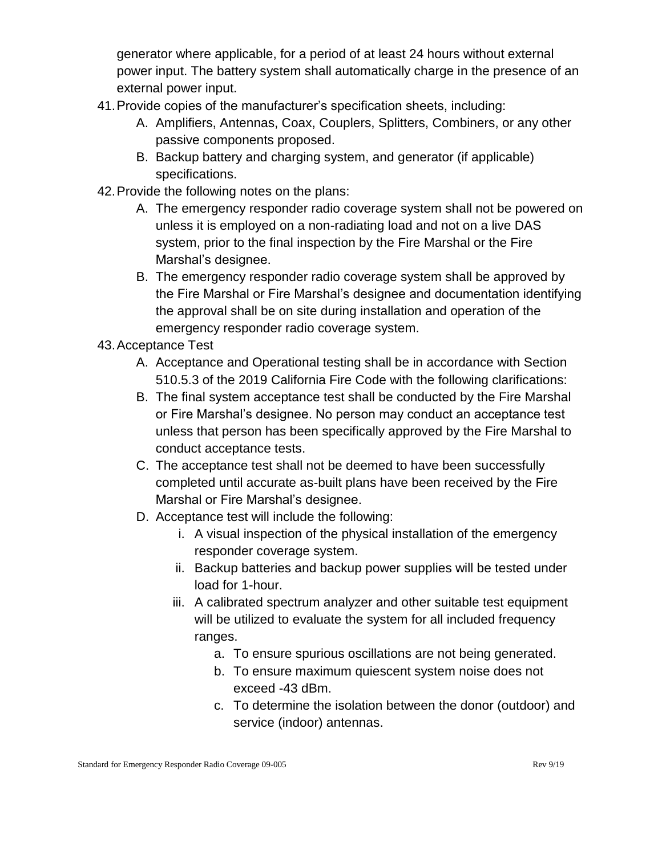generator where applicable, for a period of at least 24 hours without external power input. The battery system shall automatically charge in the presence of an external power input.

- 41.Provide copies of the manufacturer's specification sheets, including:
	- A. Amplifiers, Antennas, Coax, Couplers, Splitters, Combiners, or any other passive components proposed.
	- B. Backup battery and charging system, and generator (if applicable) specifications.
- 42.Provide the following notes on the plans:
	- A. The emergency responder radio coverage system shall not be powered on unless it is employed on a non-radiating load and not on a live DAS system, prior to the final inspection by the Fire Marshal or the Fire Marshal's designee.
	- B. The emergency responder radio coverage system shall be approved by the Fire Marshal or Fire Marshal's designee and documentation identifying the approval shall be on site during installation and operation of the emergency responder radio coverage system.
- 43.Acceptance Test
	- A. Acceptance and Operational testing shall be in accordance with Section 510.5.3 of the 2019 California Fire Code with the following clarifications:
	- B. The final system acceptance test shall be conducted by the Fire Marshal or Fire Marshal's designee. No person may conduct an acceptance test unless that person has been specifically approved by the Fire Marshal to conduct acceptance tests.
	- C. The acceptance test shall not be deemed to have been successfully completed until accurate as-built plans have been received by the Fire Marshal or Fire Marshal's designee.
	- D. Acceptance test will include the following:
		- i. A visual inspection of the physical installation of the emergency responder coverage system.
		- ii. Backup batteries and backup power supplies will be tested under load for 1-hour.
		- iii. A calibrated spectrum analyzer and other suitable test equipment will be utilized to evaluate the system for all included frequency ranges.
			- a. To ensure spurious oscillations are not being generated.
			- b. To ensure maximum quiescent system noise does not exceed -43 dBm.
			- c. To determine the isolation between the donor (outdoor) and service (indoor) antennas.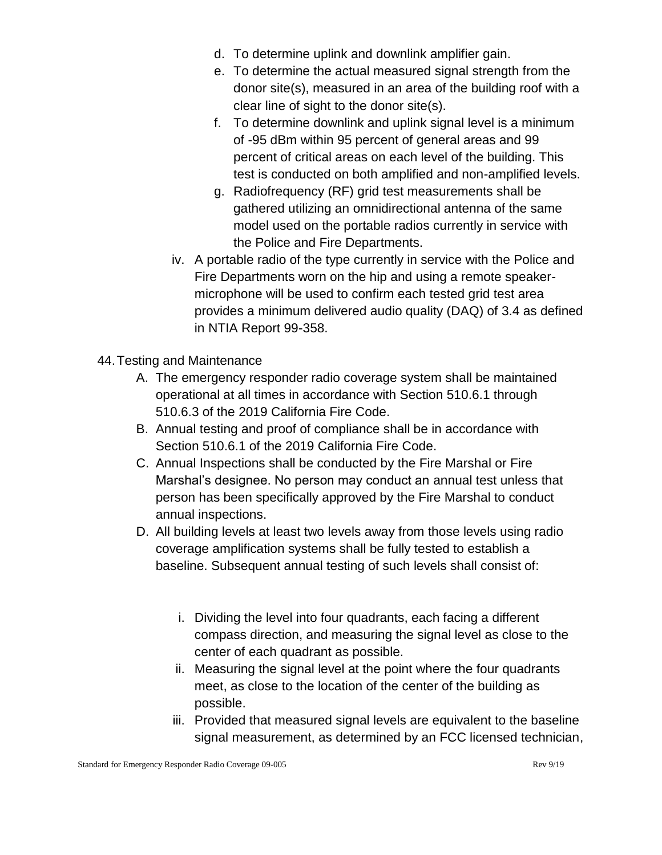- d. To determine uplink and downlink amplifier gain.
- e. To determine the actual measured signal strength from the donor site(s), measured in an area of the building roof with a clear line of sight to the donor site(s).
- f. To determine downlink and uplink signal level is a minimum of -95 dBm within 95 percent of general areas and 99 percent of critical areas on each level of the building. This test is conducted on both amplified and non-amplified levels.
- g. Radiofrequency (RF) grid test measurements shall be gathered utilizing an omnidirectional antenna of the same model used on the portable radios currently in service with the Police and Fire Departments.
- iv. A portable radio of the type currently in service with the Police and Fire Departments worn on the hip and using a remote speakermicrophone will be used to confirm each tested grid test area provides a minimum delivered audio quality (DAQ) of 3.4 as defined in NTIA Report 99-358.
- 44.Testing and Maintenance
	- A. The emergency responder radio coverage system shall be maintained operational at all times in accordance with Section 510.6.1 through 510.6.3 of the 2019 California Fire Code.
	- B. Annual testing and proof of compliance shall be in accordance with Section 510.6.1 of the 2019 California Fire Code.
	- C. Annual Inspections shall be conducted by the Fire Marshal or Fire Marshal's designee. No person may conduct an annual test unless that person has been specifically approved by the Fire Marshal to conduct annual inspections.
	- D. All building levels at least two levels away from those levels using radio coverage amplification systems shall be fully tested to establish a baseline. Subsequent annual testing of such levels shall consist of:
		- i. Dividing the level into four quadrants, each facing a different compass direction, and measuring the signal level as close to the center of each quadrant as possible.
		- ii. Measuring the signal level at the point where the four quadrants meet, as close to the location of the center of the building as possible.
		- iii. Provided that measured signal levels are equivalent to the baseline signal measurement, as determined by an FCC licensed technician,